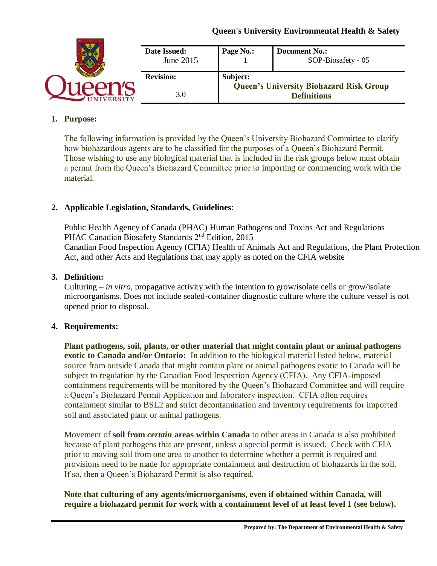|                 | Date Issued:<br>June 2015 | Page No.: | <b>Document No.:</b><br>SOP-Biosafety - 05     |
|-----------------|---------------------------|-----------|------------------------------------------------|
|                 | <b>Revision:</b>          | Subject:  | <b>Queen's University Biohazard Risk Group</b> |
| <b>IVERSITY</b> | 3.0                       |           | <b>Definitions</b>                             |

#### **1. Purpose:**

The following information is provided by the Queen's University Biohazard Committee to clarify how biohazardous agents are to be classified for the purposes of a Queen's Biohazard Permit. Those wishing to use any biological material that is included in the risk groups below must obtain a permit from the Queen's Biohazard Committee prior to importing or commencing work with the material.

### **2. Applicable Legislation, Standards, Guidelines**:

Public Health Agency of Canada (PHAC) Human Pathogens and Toxins Act and Regulations PHAC Canadian Biosafety Standards 2<sup>nd</sup> Edition, 2015 Canadian Food Inspection Agency (CFIA) Health of Animals Act and Regulations, the Plant Protection Act, and other Acts and Regulations that may apply as noted on the CFIA website

#### **3. Definition:**

Culturing – *in vitro*, propagative activity with the intention to grow/isolate cells or grow/isolate microorganisms. Does not include sealed-container diagnostic culture where the culture vessel is not opened prior to disposal.

### **4. Requirements:**

**Plant pathogens, soil, plants, or other material that might contain plant or animal pathogens exotic to Canada and/or Ontario:** In addition to the biological material listed below, material source from outside Canada that might contain plant or animal pathogens exotic to Canada will be subject to regulation by the Canadian Food Inspection Agency (CFIA). Any CFIA-imposed containment requirements will be monitored by the Queen's Biohazard Committee and will require a Queen's Biohazard Permit Application and laboratory inspection. CFIA often requires containment similar to BSL2 and strict decontamination and inventory requirements for imported soil and associated plant or animal pathogens.

Movement of **soil from** *certain* **areas within Canada** to other areas in Canada is also prohibited because of plant pathogens that are present, unless a special permit is issued. Check with CFIA prior to moving soil from one area to another to determine whether a permit is required and provisions need to be made for appropriate containment and destruction of biohazards in the soil. If so, then a Queen's Biohazard Permit is also required.

### **Note that culturing of any agents/microorganisms, even if obtained within Canada, will require a biohazard permit for work with a containment level of at least level 1 (see below).**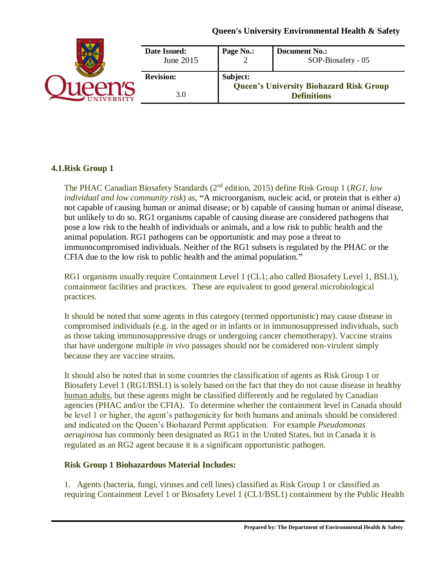| Date Issued:<br>June 2015 | Page No.: | <b>Document No.:</b><br>SOP-Biosafety - 05                           |
|---------------------------|-----------|----------------------------------------------------------------------|
| <b>Revision:</b><br>3.0   | Subject:  | <b>Queen's University Biohazard Risk Group</b><br><b>Definitions</b> |

### **4.1.Risk Group 1**

The PHAC Canadian Biosafety Standards (2<sup>nd</sup> edition, 2015) define Risk Group 1 (*RG1, low individual and low community risk*) as, **"**A microorganism, nucleic acid, or protein that is either a) not capable of causing human or animal disease; or b) capable of causing human or animal disease, but unlikely to do so. RG1 organisms capable of causing disease are considered pathogens that pose a low risk to the health of individuals or animals, and a low risk to public health and the animal population. RG1 pathogens can be opportunistic and may pose a threat to immunocompromised individuals. Neither of the RG1 subsets is regulated by the PHAC or the CFIA due to the low risk to public health and the animal population.**"**

RG1 organisms usually require Containment Level 1 (CL1; also called Biosafety Level 1, BSL1), containment facilities and practices. These are equivalent to good general microbiological practices.

It should be noted that some agents in this category (termed opportunistic) may cause disease in compromised individuals (e.g. in the aged or in infants or in immunosuppressed individuals, such as those taking immunosuppressive drugs or undergoing cancer chemotherapy). Vaccine strains that have undergone multiple *in vivo* passages should not be considered non-virulent simply because they are vaccine strains.

It should also be noted that in some countries the classification of agents as Risk Group 1 or Biosafety Level 1 (RG1/BSL1) is solely based on the fact that they do not cause disease in healthy human adults, but these agents might be classified differently and be regulated by Canadian agencies (PHAC and/or the CFIA). To determine whether the containment level in Canada should be level 1 or higher, the agent's pathogenicity for both humans and animals should be considered and indicated on the Queen's Biohazard Permit application. For example *Pseudomonas aeruginosa* has commonly been designated as RG1 in the United States, but in Canada it is regulated as an RG2 agent because it is a significant opportunistic pathogen.

### **Risk Group 1 Biohazardous Material Includes:**

1. Agents (bacteria, fungi, viruses and cell lines) classified as Risk Group 1 or classified as requiring Containment Level 1 or Biosafety Level 1 (CL1/BSL1) containment by the Public Health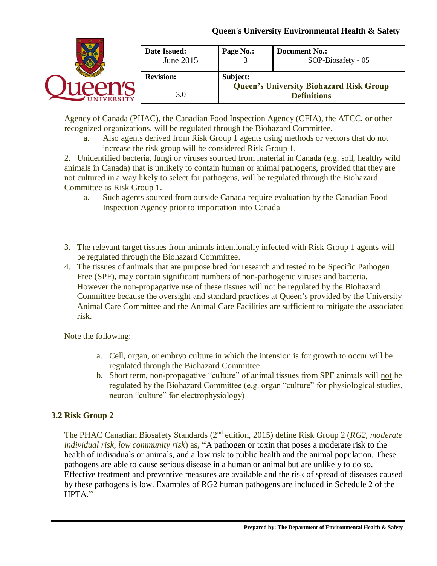|                  | Date Issued:<br>June 2015 | Page No.:                                                  | <b>Document No.:</b><br>SOP-Biosafety - 05 |
|------------------|---------------------------|------------------------------------------------------------|--------------------------------------------|
| <b>Revision:</b> |                           | Subject:<br><b>Queen's University Biohazard Risk Group</b> |                                            |
| <b>IVERSITY</b>  | 3.0                       |                                                            | <b>Definitions</b>                         |

Agency of Canada (PHAC), the Canadian Food Inspection Agency (CFIA), the ATCC, or other recognized organizations, will be regulated through the Biohazard Committee.

a. Also agents derived from Risk Group 1 agents using methods or vectors that do not increase the risk group will be considered Risk Group 1.

2. Unidentified bacteria, fungi or viruses sourced from material in Canada (e.g. soil, healthy wild animals in Canada) that is unlikely to contain human or animal pathogens, provided that they are not cultured in a way likely to select for pathogens, will be regulated through the Biohazard Committee as Risk Group 1.

- a. Such agents sourced from outside Canada require evaluation by the Canadian Food Inspection Agency prior to importation into Canada
- 3. The relevant target tissues from animals intentionally infected with Risk Group 1 agents will be regulated through the Biohazard Committee.
- 4. The tissues of animals that are purpose bred for research and tested to be Specific Pathogen Free (SPF), may contain significant numbers of non-pathogenic viruses and bacteria. However the non-propagative use of these tissues will not be regulated by the Biohazard Committee because the oversight and standard practices at Queen's provided by the University Animal Care Committee and the Animal Care Facilities are sufficient to mitigate the associated risk.

Note the following:

- a. Cell, organ, or embryo culture in which the intension is for growth to occur will be regulated through the Biohazard Committee.
- b. Short term, non-propagative "culture" of animal tissues from SPF animals will not be regulated by the Biohazard Committee (e.g. organ "culture" for physiological studies, neuron "culture" for electrophysiology)

# **3.2 Risk Group 2**

The PHAC Canadian Biosafety Standards (2<sup>nd</sup> edition, 2015) define Risk Group 2 (RG2, moderate *individual risk, low community risk*) as, **"**A pathogen or toxin that poses a moderate risk to the health of individuals or animals, and a low risk to public health and the animal population. These pathogens are able to cause serious disease in a human or animal but are unlikely to do so. Effective treatment and preventive measures are available and the risk of spread of diseases caused by these pathogens is low. Examples of RG2 human pathogens are included in Schedule 2 of the HPTA.**"**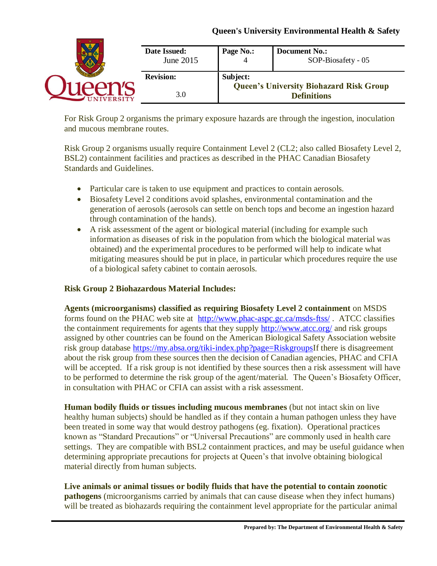|                 | Date Issued:<br>June 2015 | Page No.:                                                  | <b>Document No.:</b><br>SOP-Biosafety - 05 |
|-----------------|---------------------------|------------------------------------------------------------|--------------------------------------------|
|                 | <b>Revision:</b><br>3.0   | Subject:<br><b>Queen's University Biohazard Risk Group</b> |                                            |
| <b>IVERSITY</b> |                           |                                                            | <b>Definitions</b>                         |

For Risk Group 2 organisms the primary exposure hazards are through the ingestion, inoculation and mucous membrane routes.

Risk Group 2 organisms usually require Containment Level 2 (CL2; also called Biosafety Level 2, BSL2) containment facilities and practices as described in the PHAC Canadian Biosafety Standards and Guidelines.

- Particular care is taken to use equipment and practices to contain aerosols.
- Biosafety Level 2 conditions avoid splashes, environmental contamination and the generation of aerosols (aerosols can settle on bench tops and become an ingestion hazard through contamination of the hands).
- A risk assessment of the agent or biological material (including for example such information as diseases of risk in the population from which the biological material was obtained) and the experimental procedures to be performed will help to indicate what mitigating measures should be put in place, in particular which procedures require the use of a biological safety cabinet to contain aerosols.

### **Risk Group 2 Biohazardous Material Includes:**

**Agents (microorganisms) classified as requiring Biosafety Level 2 containment** on MSDS forms found on the PHAC web site at <http://www.phac-aspc.gc.ca/msds-ftss/>. ATCC classifies the containment requirements for agents that they supply<http://www.atcc.org/> and risk groups assigned by other countries can be found on the American Biological Safety Association website risk group database [https://my.absa.org/tiki-index.php?page=RiskgroupsI](https://my.absa.org/tiki-index.php?page=Riskgroups)f there is disagreement about the risk group from these sources then the decision of Canadian agencies, PHAC and CFIA will be accepted. If a risk group is not identified by these sources then a risk assessment will have to be performed to determine the risk group of the agent/material. The Queen's Biosafety Officer, in consultation with PHAC or CFIA can assist with a risk assessment.

**Human bodily fluids or tissues including mucous membranes** (but not intact skin on live healthy human subjects) should be handled as if they contain a human pathogen unless they have been treated in some way that would destroy pathogens (eg. fixation). Operational practices known as "Standard Precautions" or "Universal Precautions" are commonly used in health care settings. They are compatible with BSL2 containment practices, and may be useful guidance when determining appropriate precautions for projects at Queen's that involve obtaining biological material directly from human subjects.

**Live animals or animal tissues or bodily fluids that have the potential to contain zoonotic pathogens** (microorganisms carried by animals that can cause disease when they infect humans) will be treated as biohazards requiring the containment level appropriate for the particular animal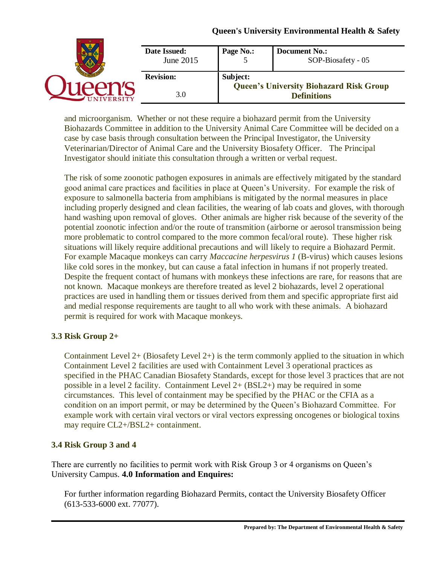| Date Issued:<br>June 2015 | Page No.: | <b>Document No.:</b><br>SOP-Biosafety - 05     |
|---------------------------|-----------|------------------------------------------------|
| <b>Revision:</b>          | Subject:  | <b>Queen's University Biohazard Risk Group</b> |
| 3.0                       |           | <b>Definitions</b>                             |

and microorganism. Whether or not these require a biohazard permit from the University Biohazards Committee in addition to the University Animal Care Committee will be decided on a case by case basis through consultation between the Principal Investigator, the University Veterinarian/Director of Animal Care and the University Biosafety Officer. The Principal Investigator should initiate this consultation through a written or verbal request.

The risk of some zoonotic pathogen exposures in animals are effectively mitigated by the standard good animal care practices and facilities in place at Queen's University. For example the risk of exposure to salmonella bacteria from amphibians is mitigated by the normal measures in place including properly designed and clean facilities, the wearing of lab coats and gloves, with thorough hand washing upon removal of gloves. Other animals are higher risk because of the severity of the potential zoonotic infection and/or the route of transmition (airborne or aerosol transmission being more problematic to control compared to the more common fecal/oral route). These higher risk situations will likely require additional precautions and will likely to require a Biohazard Permit. For example Macaque monkeys can carry *Maccacine herpesvirus 1* (B-virus) which causes lesions like cold sores in the monkey, but can cause a fatal infection in humans if not properly treated. Despite the frequent contact of humans with monkeys these infections are rare, for reasons that are not known. Macaque monkeys are therefore treated as level 2 biohazards, level 2 operational practices are used in handling them or tissues derived from them and specific appropriate first aid and medial response requirements are taught to all who work with these animals. A biohazard permit is required for work with Macaque monkeys.

### **3.3 Risk Group 2+**

Containment Level  $2+$  (Biosafety Level  $2+$ ) is the term commonly applied to the situation in which Containment Level 2 facilities are used with Containment Level 3 operational practices as specified in the PHAC Canadian Biosafety Standards, except for those level 3 practices that are not possible in a level 2 facility. Containment Level 2+ (BSL2+) may be required in some circumstances. This level of containment may be specified by the PHAC or the CFIA as a condition on an import permit, or may be determined by the Queen's Biohazard Committee. For example work with certain viral vectors or viral vectors expressing oncogenes or biological toxins may require CL2+/BSL2+ containment.

### **3.4 Risk Group 3 and 4**

There are currently no facilities to permit work with Risk Group 3 or 4 organisms on Queen's University Campus. **4.0 Information and Enquires:**

For further information regarding Biohazard Permits, contact the University Biosafety Officer (613-533-6000 ext. 77077).